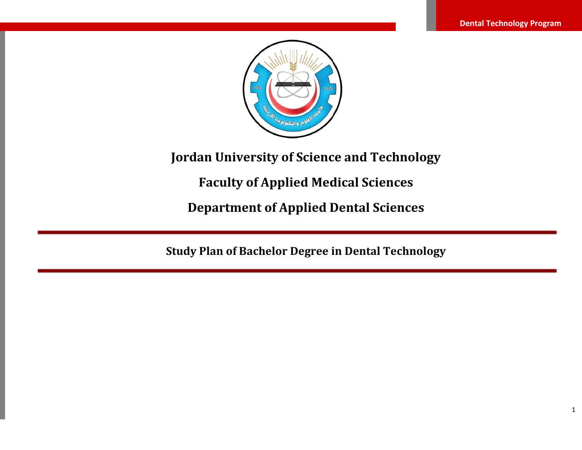

# **Jordan University of Science and Technology**

# **Faculty of Applied Medical Sciences**

**Department of Applied Dental Sciences**

**Study Plan of Bachelor Degree in Dental Technology**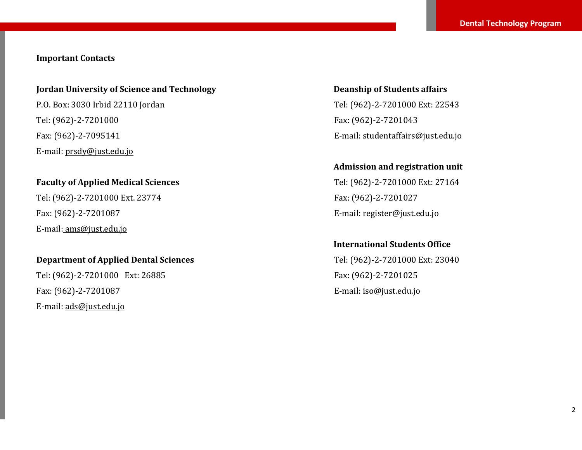# **Important Contacts**

#### **Jordan University of Science and Technology**

P.O. Box: 3030 Irbid 22110 Jordan Tel: (962)-2-7201000 Fax: (962)-2-7095141 E-mail[: prsdy@just.edu.jo](mailto:prsdy@just.edu.jo)

#### **Faculty of Applied Medical Sciences**

Tel: (962)-2-7201000 Ext. 23774 Fax: (962)-2-7201087 E-mail: [ams@just.edu.jo](mailto:ams@just.edu.jo)

#### **Department of Applied Dental Sciences**

Tel: (962)-2-7201000 Ext: 26885 Fax: (962)-2-7201087 E-mail[: ads@just.edu.jo](mailto:ads@just.edu.jo)

**Deanship of Students affairs** Tel: (962)-2-7201000 Ext: 22543 Fax: (962)-2-7201043 E-mail[: studentaffairs@just.edu.jo](mailto:studentaffairs@just.edu.jo)

#### **Admission and registration unit**

Tel: (962)-2-7201000 Ext: 27164 Fax: (962)-2-7201027 E-mail[: register@just.edu.jo](mailto:register@just.edu.jo)

# **International Students Office**

Tel: (962)-2-7201000 Ext: 23040 Fax: (962)-2-7201025 E-mail[: iso@just.edu.jo](mailto:iso@just.edu.jo)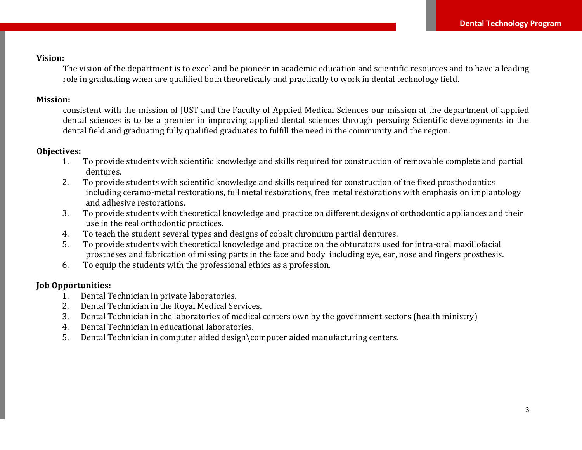# **Vision:**

The vision of the department is to excel and be pioneer in academic education and scientific resources and to have a leading role in graduating when are qualified both theoretically and practically to work in dental technology field.

#### **Mission:**

consistent with the mission of JUST and the Faculty of Applied Medical Sciences our mission at the department of applied dental sciences is to be a premier in improving applied dental sciences through persuing Scientific developments in the dental field and graduating fully qualified graduates to fulfill the need in the community and the region.

# **Objectives:**

- 1. To provide students with scientific knowledge and skills required for construction of removable complete and partial dentures.
- 2. To provide students with scientific knowledge and skills required for construction of the fixed prosthodontics including ceramo-metal restorations, full metal restorations, free metal restorations with emphasis on implantology and adhesive restorations.
- 3. To provide students with theoretical knowledge and practice on different designs of orthodontic appliances and their use in the real orthodontic practices.
- 4. To teach the student several types and designs of cobalt chromium partial dentures.
- 5. To provide students with theoretical knowledge and practice on the obturators used for intra-oral maxillofacial prostheses and fabrication of missing parts in the face and body including eye, ear, nose and fingers prosthesis.
- 6. To equip the students with the professional ethics as a profession.

# **Job Opportunities:**

- 1. Dental Technician in private laboratories.
- 2. Dental Technician in the Royal Medical Services.
- 3. Dental Technician in the laboratories of medical centers own by the government sectors (health ministry)
- 4. Dental Technician in educational laboratories.
- 5. Dental Technician in computer aided design\computer aided manufacturing centers.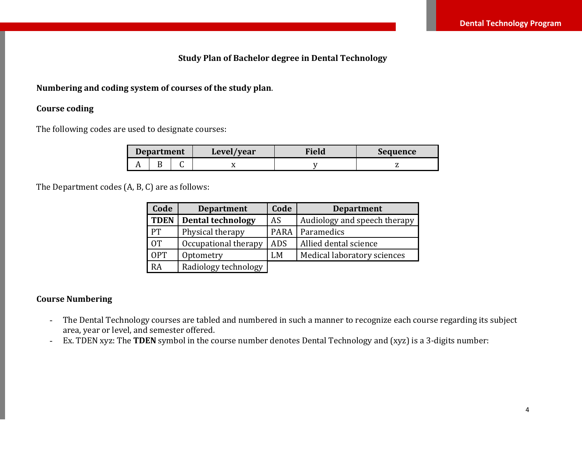# **Study Plan of Bachelor degree in Dental Technology**

#### **Numbering and coding system of courses of the study plan**.

#### **Course coding**

The following codes are used to designate courses:

| <b>Department</b> |  | Level/year | Field | Sequence |
|-------------------|--|------------|-------|----------|
|                   |  |            |       |          |

The Department codes (A, B, C) are as follows:

| Code        | <b>Department</b>        | Code        | <b>Department</b>            |
|-------------|--------------------------|-------------|------------------------------|
| <b>TDEN</b> | <b>Dental technology</b> | AS          | Audiology and speech therapy |
| <b>PT</b>   | Physical therapy         | <b>PARA</b> | Paramedics                   |
| <b>OT</b>   | Occupational therapy     | <b>ADS</b>  | Allied dental science        |
| <b>OPT</b>  | Optometry                | LM          | Medical laboratory sciences  |
| RA          | Radiology technology     |             |                              |

#### **Course Numbering**

- The Dental Technology courses are tabled and numbered in such a manner to recognize each course regarding its subject area, year or level, and semester offered.
- Ex. TDEN xyz: The **TDEN** symbol in the course number denotes Dental Technology and (xyz) is a 3-digits number: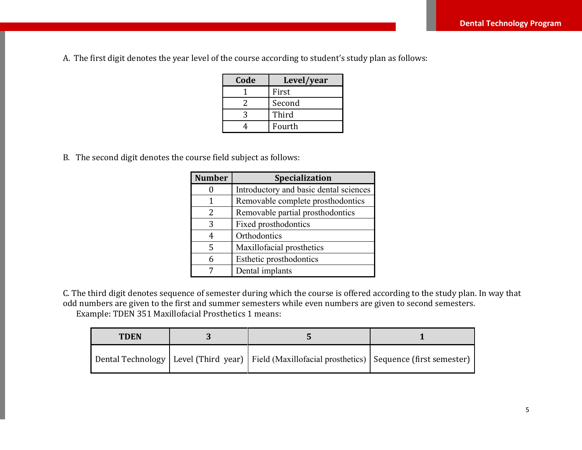A. The first digit denotes the year level of the course according to student's study plan as follows:

| Code | Level/year |
|------|------------|
|      | First      |
|      | Second     |
| 2    | Third      |
|      | Fourth     |

B. The second digit denotes the course field subject as follows:

| <b>Number</b> | Specialization                         |  |  |
|---------------|----------------------------------------|--|--|
|               | Introductory and basic dental sciences |  |  |
| 1             | Removable complete prosthodontics      |  |  |
| 2             | Removable partial prosthodontics       |  |  |
| 3             | Fixed prosthodontics                   |  |  |
| 4             | Orthodontics                           |  |  |
| 5             | Maxillofacial prosthetics              |  |  |
| 6             | Esthetic prosthodontics                |  |  |
|               | Dental implants                        |  |  |

C. The third digit denotes sequence of semester during which the course is offered according to the study plan. In way that odd numbers are given to the first and summer semesters while even numbers are given to second semesters. Example: TDEN 351 Maxillofacial Prosthetics 1 means:

| <b>TDEN</b> |                                                                                                        |  |
|-------------|--------------------------------------------------------------------------------------------------------|--|
|             | Dental Technology   Level (Third year)   Field (Maxillofacial prosthetics)   Sequence (first semester) |  |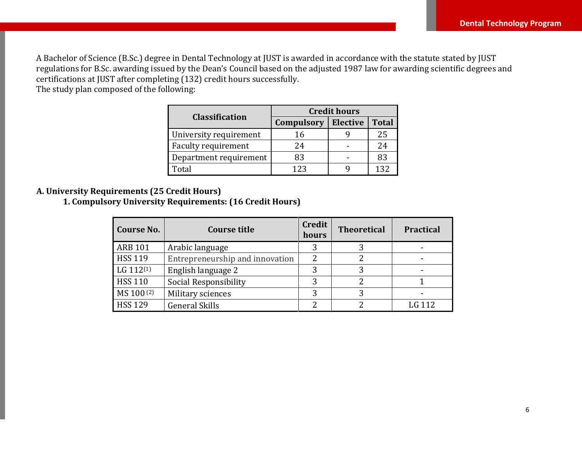A Bachelor of Science (B.Sc.) degree in Dental Technology at JUST is awarded in accordance with the statute stated by JUST regulations for B.Sc. awarding issued by the Dean's Council based on the adjusted 1987 law for awarding scientific degrees and certifications at JUST after completing (132) credit hours successfully. The study plan composed of the following:

|                        | <b>Credit hours</b> |                 |              |  |  |
|------------------------|---------------------|-----------------|--------------|--|--|
| <b>Classification</b>  | <b>Compulsory</b>   | <b>Elective</b> | <b>Total</b> |  |  |
| University requirement | 16                  |                 | 25           |  |  |
| Faculty requirement    | 24                  |                 | 24           |  |  |
| Department requirement | 83                  |                 | 83           |  |  |
| Total                  | 123                 |                 | 137          |  |  |

#### **A. University Requirements (25 Credit Hours)**

**1. Compulsory University Requirements: (16 Credit Hours)**

| Course No.            | <b>Course title</b>             | <b>Credit</b><br>hours | <b>Theoretical</b> | <b>Practical</b> |
|-----------------------|---------------------------------|------------------------|--------------------|------------------|
| <b>ARB 101</b>        | Arabic language                 | 3                      |                    |                  |
| <b>HSS 119</b>        | Entrepreneurship and innovation | 2                      |                    |                  |
| LG 112 <sup>(1)</sup> | English language 2              | 3                      | 3                  |                  |
| <b>HSS 110</b>        | Social Responsibility           | 3                      |                    |                  |
| MS 100(2)             | Military sciences               | 3                      | 2                  |                  |
| <b>HSS 129</b>        | <b>General Skills</b>           | っ                      |                    | LG 112           |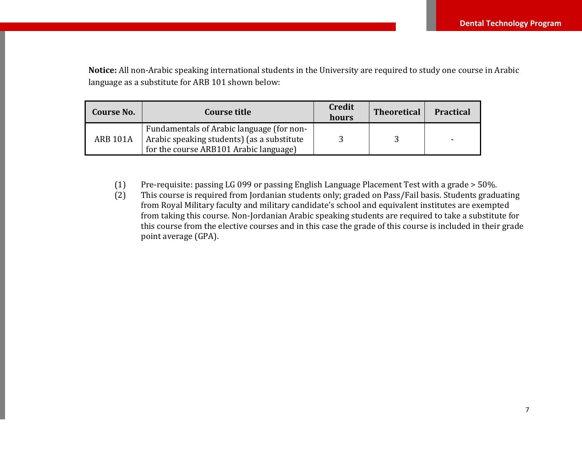**Notice:** All non-Arabic speaking international students in the University are required to study one course in Arabic language as a substitute for ARB 101 shown below:

| Course No.      | Course title                                                                                                                      | <b>Credit</b><br>hours | <b>Theoretical</b> | <b>Practical</b> |
|-----------------|-----------------------------------------------------------------------------------------------------------------------------------|------------------------|--------------------|------------------|
| <b>ARB 101A</b> | Fundamentals of Arabic language (for non-<br>Arabic speaking students) (as a substitute<br>for the course ARB101 Arabic language) |                        |                    |                  |

(1) Pre-requisite: passing LG 099 or passing English Language Placement Test with a grade > 50%.

(2) This course is required from Jordanian students only; graded on Pass/Fail basis. Students graduating from Royal Military faculty and military candidate's school and equivalent institutes are exempted from taking this course. Non-Jordanian Arabic speaking students are required to take a substitute for this course from the elective courses and in this case the grade of this course is included in their grade point average (GPA).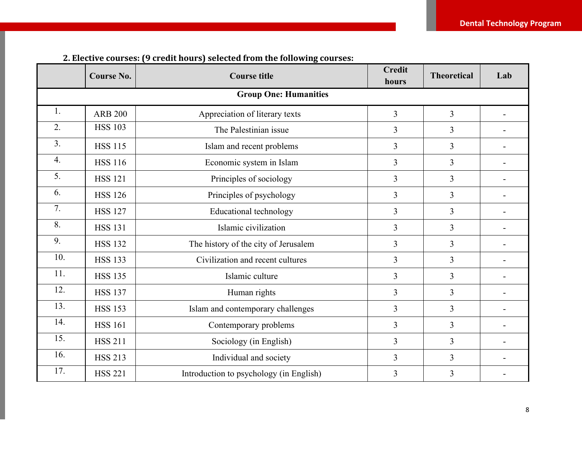|                  | <b>Course No.</b> | <b>Course title</b>                     | <b>Credit</b><br>hours | <b>Theoretical</b> | Lab |
|------------------|-------------------|-----------------------------------------|------------------------|--------------------|-----|
|                  |                   | <b>Group One: Humanities</b>            |                        |                    |     |
| 1.               | <b>ARB 200</b>    | Appreciation of literary texts          | 3                      | $\overline{3}$     |     |
| 2.               | <b>HSS 103</b>    | The Palestinian issue                   | 3                      | 3                  |     |
| 3.               | <b>HSS 115</b>    | Islam and recent problems               | 3                      | $\overline{3}$     |     |
| $\overline{4}$ . | <b>HSS 116</b>    | Economic system in Islam                | 3                      | $\overline{3}$     |     |
| 5.               | <b>HSS 121</b>    | Principles of sociology                 | 3                      | $\overline{3}$     |     |
| 6.               | <b>HSS 126</b>    | Principles of psychology                | 3                      | $\overline{3}$     |     |
| 7.               | <b>HSS 127</b>    | Educational technology                  | 3                      | $\overline{3}$     |     |
| 8.               | <b>HSS 131</b>    | Islamic civilization                    | 3                      | $\overline{3}$     |     |
| 9.               | <b>HSS 132</b>    | The history of the city of Jerusalem    | 3                      | $\overline{3}$     |     |
| 10.              | <b>HSS 133</b>    | Civilization and recent cultures        | 3                      | $\overline{3}$     |     |
| 11.              | <b>HSS 135</b>    | Islamic culture                         | 3                      | $\overline{3}$     |     |
| 12.              | <b>HSS 137</b>    | Human rights                            | 3                      | $\overline{3}$     |     |
| 13.              | <b>HSS 153</b>    | Islam and contemporary challenges       | 3                      | $\overline{3}$     |     |
| 14.              | <b>HSS 161</b>    | Contemporary problems                   | 3                      | $\overline{3}$     |     |
| 15.              | <b>HSS 211</b>    | Sociology (in English)                  | 3                      | $\overline{3}$     |     |
| 16.              | <b>HSS 213</b>    | Individual and society                  | 3                      | $\overline{3}$     |     |
| 17.              | <b>HSS 221</b>    | Introduction to psychology (in English) | 3                      | 3                  |     |

# **2. Elective courses: (9 credit hours) selected from the following courses:**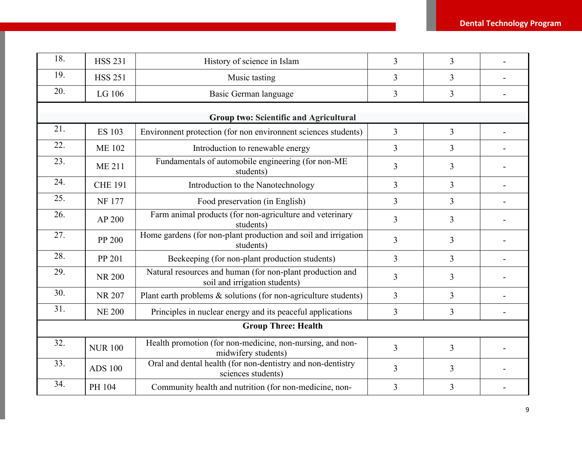| 18. | <b>HSS 231</b>             | History of science in Islam                                                                | 3              | $\overline{3}$ |  |  |
|-----|----------------------------|--------------------------------------------------------------------------------------------|----------------|----------------|--|--|
| 19. | <b>HSS 251</b>             | Music tasting                                                                              | 3              | 3              |  |  |
| 20. | LG 106                     | Basic German language                                                                      | 3              | $\overline{3}$ |  |  |
|     |                            | <b>Group two: Scientific and Agricultural</b>                                              |                |                |  |  |
| 21. |                            |                                                                                            |                |                |  |  |
|     | <b>ES 103</b>              | Environment protection (for non environment sciences students)                             | $\overline{3}$ | $\overline{3}$ |  |  |
| 22. | <b>ME 102</b>              | Introduction to renewable energy                                                           | 3              | $\overline{3}$ |  |  |
| 23. | <b>ME 211</b>              | Fundamentals of automobile engineering (for non-ME<br>students)                            | 3              | $\overline{3}$ |  |  |
| 24. | <b>CHE 191</b>             | Introduction to the Nanotechnology                                                         | 3              | $\overline{3}$ |  |  |
| 25. | <b>NF177</b>               | Food preservation (in English)                                                             | 3              | $\overline{3}$ |  |  |
| 26. | AP 200                     | Farm animal products (for non-agriculture and veterinary<br>students)                      | 3              | 3              |  |  |
| 27. | PP 200                     | Home gardens (for non-plant production and soil and irrigation<br>students)                | 3              | $\overline{3}$ |  |  |
| 28. | PP 201                     | Beekeeping (for non-plant production students)                                             | 3              | $\overline{3}$ |  |  |
| 29. | <b>NR 200</b>              | Natural resources and human (for non-plant production and<br>soil and irrigation students) | 3              | $\overline{3}$ |  |  |
| 30. | <b>NR 207</b>              | Plant earth problems & solutions (for non-agriculture students)                            | 3              | $\overline{3}$ |  |  |
| 31. | <b>NE 200</b>              | Principles in nuclear energy and its peaceful applications                                 | 3              | $\overline{3}$ |  |  |
|     | <b>Group Three: Health</b> |                                                                                            |                |                |  |  |
| 32. | <b>NUR 100</b>             | Health promotion (for non-medicine, non-nursing, and non-<br>midwifery students)           | 3              | $\overline{3}$ |  |  |
| 33. | <b>ADS 100</b>             | Oral and dental health (for non-dentistry and non-dentistry<br>sciences students)          | 3              | $\overline{3}$ |  |  |
| 34. | PH 104                     | Community health and nutrition (for non-medicine, non-                                     | 3              | 3              |  |  |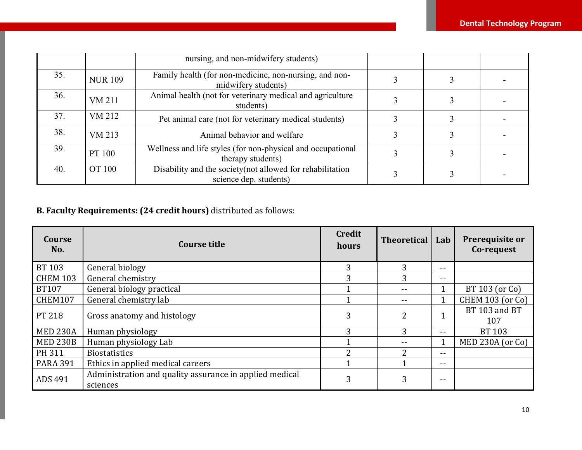|     |                | nursing, and non-midwifery students)                                                 |  |  |
|-----|----------------|--------------------------------------------------------------------------------------|--|--|
| 35. | <b>NUR 109</b> | Family health (for non-medicine, non-nursing, and non-<br>midwifery students)        |  |  |
| 36. | VM 211         | Animal health (not for veterinary medical and agriculture<br>students)               |  |  |
| 37. | VM 212         | Pet animal care (not for veterinary medical students)                                |  |  |
| 38. | VM 213         | Animal behavior and welfare                                                          |  |  |
| 39. | PT 100         | Wellness and life styles (for non-physical and occupational<br>therapy students)     |  |  |
| 40. | OT 100         | Disability and the society (not allowed for rehabilitation<br>science dep. students) |  |  |

# **B. Faculty Requirements: (24 credit hours)** distributed as follows:

| <b>Course</b><br>No. | <b>Course title</b>                                                 | <b>Credit</b><br>hours | <b>Theoretical</b> | Lab   | Prerequisite or<br>Co-request |
|----------------------|---------------------------------------------------------------------|------------------------|--------------------|-------|-------------------------------|
| <b>BT 103</b>        | General biology                                                     | 3                      | 3                  | $- -$ |                               |
| <b>CHEM 103</b>      | General chemistry                                                   |                        |                    | $- -$ |                               |
| <b>BT107</b>         | General biology practical                                           |                        |                    |       | BT 103 (or Co)                |
| CHEM107              | General chemistry lab                                               |                        |                    |       | <b>CHEM 103 (or Co)</b>       |
| PT 218               | Gross anatomy and histology                                         | 3                      | 2                  |       | BT 103 and BT<br>107          |
| <b>MED 230A</b>      | Human physiology                                                    | 3                      | 3                  | --    | BT 103                        |
| <b>MED 230B</b>      | Human physiology Lab                                                |                        |                    |       | $MED$ 230A (or Co)            |
| PH 311               | <b>Biostatistics</b>                                                |                        | າ                  | $- -$ |                               |
| <b>PARA 391</b>      | Ethics in applied medical careers                                   |                        |                    | $- -$ |                               |
| ADS 491              | Administration and quality assurance in applied medical<br>sciences | 3                      | 3                  | $- -$ |                               |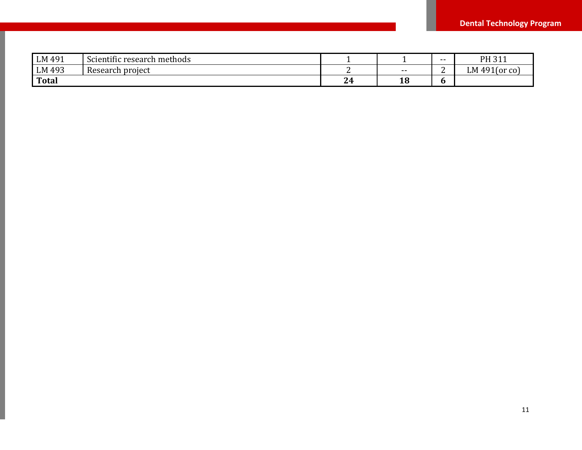| LM 491       | $\sim$<br>$\cdots$<br>า methods<br>Scientific research |              |       | $- -$ | PH 311<br>ᇰᆠᆂ       |
|--------------|--------------------------------------------------------|--------------|-------|-------|---------------------|
| LM 493       | . project<br>Research                                  |              | $- -$ | -     | $491$ (or co)<br>LM |
| <b>Total</b> |                                                        | $\sim$<br>24 | 18    |       |                     |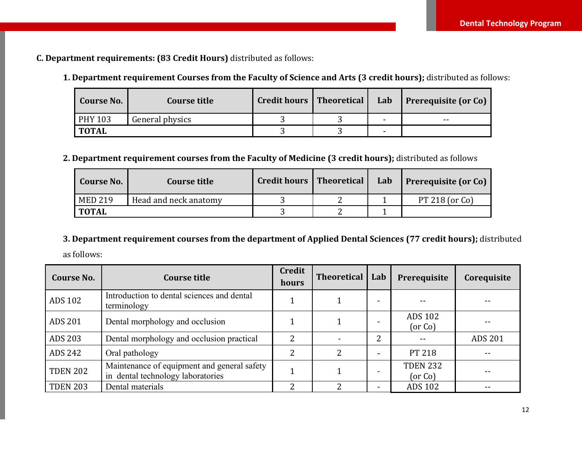**C. Department requirements: (83 Credit Hours)** distributed as follows:

**1. Department requirement Courses from the Faculty of Science and Arts (3 credit hours);** distributed as follows:

| <b>Course No.</b> | Course title    | Credit hours   Theoretical | Lab | <b>Prerequisite (or Co)</b> |
|-------------------|-----------------|----------------------------|-----|-----------------------------|
| <b>PHY 103</b>    | General physics |                            | -   | $- -$                       |
| <b>TOTAL</b>      |                 |                            | -   |                             |

### **2. Department requirement courses from the Faculty of Medicine (3 credit hours);** distributed as follows

| <b>Course No.</b> | Course title          | Credit hours   Theoretical | Lab | <b>Prerequisite (or Co)</b> |
|-------------------|-----------------------|----------------------------|-----|-----------------------------|
| <b>MED 219</b>    | Head and neck anatomy |                            |     | PT 218 (or $Co$ )           |
| <b>TOTAL</b>      |                       |                            |     |                             |

#### **3. Department requirement courses from the department of Applied Dental Sciences (77 credit hours);** distributed

as follows:

| <b>Course No.</b> | Course title                                                                     | <b>Credit</b><br>hours | <b>Theoretical</b> | Lab                      | Prerequisite               | Corequisite    |
|-------------------|----------------------------------------------------------------------------------|------------------------|--------------------|--------------------------|----------------------------|----------------|
| <b>ADS 102</b>    | Introduction to dental sciences and dental<br>terminology                        |                        |                    |                          |                            |                |
| <b>ADS 201</b>    | Dental morphology and occlusion                                                  |                        |                    |                          | <b>ADS 102</b><br>(or Co)  |                |
| ADS 203           | Dental morphology and occlusion practical                                        | 2                      |                    | 2                        |                            | <b>ADS 201</b> |
| ADS 242           | Oral pathology                                                                   | 2                      | 2                  |                          | PT 218                     |                |
| <b>TDEN 202</b>   | Maintenance of equipment and general safety<br>in dental technology laboratories |                        |                    |                          | <b>TDEN 232</b><br>(or Co) |                |
| <b>TDEN 203</b>   | Dental materials                                                                 |                        | 2                  | $\overline{\phantom{0}}$ | <b>ADS 102</b>             |                |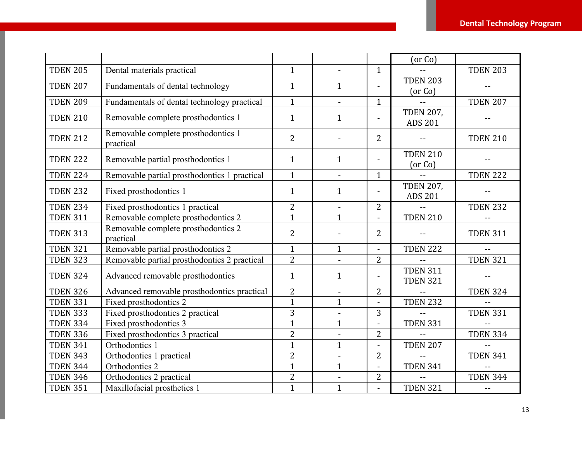|                 |                                                  |                |                |                          | (or Co)                            |                 |
|-----------------|--------------------------------------------------|----------------|----------------|--------------------------|------------------------------------|-----------------|
| <b>TDEN 205</b> | Dental materials practical                       | $\mathbf{1}$   |                | $\mathbf{1}$             |                                    | <b>TDEN 203</b> |
| <b>TDEN 207</b> | Fundamentals of dental technology                | $\mathbf{1}$   | $\mathbf{1}$   | $\blacksquare$           | <b>TDEN 203</b><br>(or Co)         |                 |
| <b>TDEN 209</b> | Fundamentals of dental technology practical      | $\mathbf{1}$   | $\blacksquare$ | $\mathbf{1}$             |                                    | <b>TDEN 207</b> |
| <b>TDEN 210</b> | Removable complete prosthodontics 1              | $\mathbf{1}$   | $\mathbf{1}$   |                          | <b>TDEN 207,</b><br><b>ADS 201</b> |                 |
| <b>TDEN 212</b> | Removable complete prosthodontics 1<br>practical | $\overline{2}$ |                | $\overline{2}$           |                                    | <b>TDEN 210</b> |
| <b>TDEN 222</b> | Removable partial prosthodontics 1               | $\mathbf{1}$   | $\mathbf{1}$   | $\overline{a}$           | <b>TDEN 210</b><br>(or Co)         |                 |
| <b>TDEN 224</b> | Removable partial prosthodontics 1 practical     | $\mathbf{1}$   | $\blacksquare$ | $\mathbf{1}$             |                                    | <b>TDEN 222</b> |
| <b>TDEN 232</b> | Fixed prosthodontics 1                           | $\mathbf{1}$   | $\mathbf{1}$   | $\overline{a}$           | <b>TDEN 207,</b><br><b>ADS 201</b> |                 |
| <b>TDEN 234</b> | Fixed prosthodontics 1 practical                 | $\overline{2}$ |                | 2                        |                                    | <b>TDEN 232</b> |
| <b>TDEN 311</b> | Removable complete prosthodontics 2              | $\mathbf{1}$   | $\mathbf{1}$   |                          | <b>TDEN 210</b>                    |                 |
| <b>TDEN 313</b> | Removable complete prosthodontics 2<br>practical | $\overline{2}$ | $\blacksquare$ | 2                        |                                    | <b>TDEN 311</b> |
| <b>TDEN 321</b> | Removable partial prosthodontics 2               | $\mathbf{1}$   | $\mathbf{1}$   | $\overline{\phantom{a}}$ | <b>TDEN 222</b>                    |                 |
| <b>TDEN 323</b> | Removable partial prosthodontics 2 practical     | $\overline{2}$ | $\blacksquare$ | 2                        |                                    | <b>TDEN 321</b> |
| <b>TDEN 324</b> | Advanced removable prosthodontics                | $\mathbf{1}$   | $\mathbf{1}$   |                          | <b>TDEN 311</b><br><b>TDEN 321</b> |                 |
| <b>TDEN 326</b> | Advanced removable prosthodontics practical      | $\overline{2}$ | $\blacksquare$ | 2                        |                                    | <b>TDEN 324</b> |
| <b>TDEN 331</b> | Fixed prosthodontics 2                           | $\mathbf{1}$   | $\mathbf{1}$   | $\overline{a}$           | <b>TDEN 232</b>                    |                 |
| <b>TDEN 333</b> | Fixed prosthodontics 2 practical                 | 3              |                | 3                        |                                    | <b>TDEN 331</b> |
| <b>TDEN 334</b> | Fixed prosthodontics 3                           | $\mathbf{1}$   | $\mathbf{1}$   | $\blacksquare$           | <b>TDEN 331</b>                    |                 |
| <b>TDEN 336</b> | Fixed prosthodontics 3 practical                 | $\overline{2}$ |                | $\overline{2}$           |                                    | <b>TDEN 334</b> |
| <b>TDEN 341</b> | Orthodontics 1                                   | $\mathbf{1}$   | $\mathbf{1}$   |                          | <b>TDEN 207</b>                    |                 |
| <b>TDEN 343</b> | Orthodontics 1 practical                         | $\overline{2}$ | $\blacksquare$ | 2                        |                                    | <b>TDEN 341</b> |
| <b>TDEN 344</b> | Orthodontics 2                                   | $\mathbf{1}$   | $\mathbf{1}$   | $\blacksquare$           | <b>TDEN 341</b>                    |                 |
| <b>TDEN 346</b> | Orthodontics 2 practical                         | $\overline{2}$ |                | $\overline{2}$           |                                    | <b>TDEN 344</b> |
| <b>TDEN 351</b> | Maxillofacial prosthetics 1                      | $\mathbf{1}$   | $\mathbf{1}$   |                          | <b>TDEN 321</b>                    | $-$             |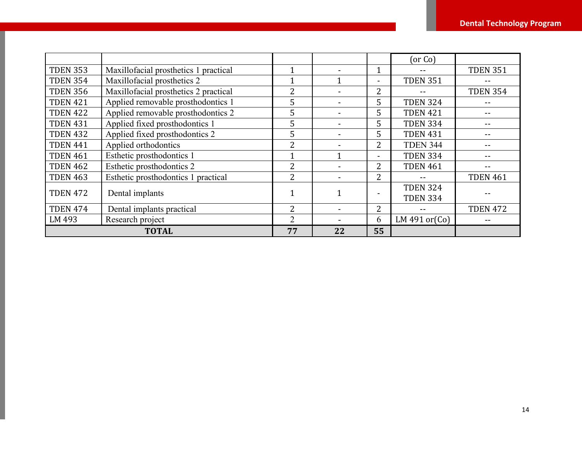|                 |                                       |                |                          |                | (or Co)                            |                 |
|-----------------|---------------------------------------|----------------|--------------------------|----------------|------------------------------------|-----------------|
| <b>TDEN 353</b> | Maxillofacial prosthetics 1 practical |                |                          |                |                                    | <b>TDEN 351</b> |
| <b>TDEN 354</b> | Maxillofacial prosthetics 2           |                | 1                        | $\blacksquare$ | <b>TDEN 351</b>                    |                 |
| <b>TDEN 356</b> | Maxillofacial prosthetics 2 practical | $\overline{2}$ |                          | 2              | --                                 | <b>TDEN 354</b> |
| <b>TDEN 421</b> | Applied removable prosthodontics 1    | 5              |                          | 5              | <b>TDEN 324</b>                    |                 |
| <b>TDEN 422</b> | Applied removable prosthodontics 2    | 5              |                          | 5              | <b>TDEN 421</b>                    |                 |
| <b>TDEN 431</b> | Applied fixed prosthodontics 1        | 5              | -                        | 5              | <b>TDEN 334</b>                    |                 |
| <b>TDEN 432</b> | Applied fixed prosthodontics 2        | 5              | $\overline{\phantom{0}}$ | 5              | <b>TDEN 431</b>                    |                 |
| <b>TDEN 441</b> | Applied orthodontics                  | $\overline{2}$ |                          | 2              | <b>TDEN 344</b>                    |                 |
| <b>TDEN 461</b> | Esthetic prosthodontics 1             | 1              | 1                        | -              | <b>TDEN 334</b>                    |                 |
| <b>TDEN 462</b> | Esthetic prosthodontics 2             | 2              |                          | 2              | <b>TDEN 461</b>                    |                 |
| <b>TDEN 463</b> | Esthetic prosthodontics 1 practical   | 2              |                          | 2              |                                    | <b>TDEN 461</b> |
| <b>TDEN 472</b> | Dental implants                       |                |                          |                | <b>TDEN 324</b><br><b>TDEN 334</b> |                 |
| <b>TDEN 474</b> | Dental implants practical             | $\overline{2}$ |                          | 2              |                                    | <b>TDEN 472</b> |
| LM 493          | Research project                      | 2              |                          | 6              | LM 491 or $(Co)$                   |                 |
|                 | <b>TOTAL</b>                          | 77             | 22                       | 55             |                                    |                 |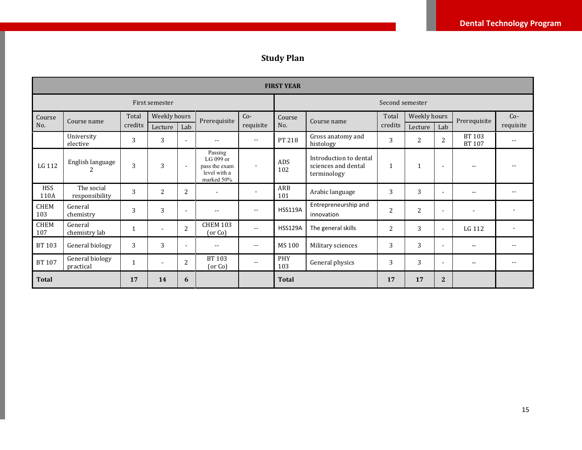# **Study Plan**

|                    | <b>FIRST YEAR</b>            |              |                |                |                                                                     |                          |                   |                                                              |                 |              |                          |                         |           |
|--------------------|------------------------------|--------------|----------------|----------------|---------------------------------------------------------------------|--------------------------|-------------------|--------------------------------------------------------------|-----------------|--------------|--------------------------|-------------------------|-----------|
|                    |                              |              | First semester |                |                                                                     |                          |                   |                                                              | Second semester |              |                          |                         |           |
| Course             | Course name                  | Total        | Weekly hours   |                | Prerequisite                                                        | $Co-$                    | Course            | Course name                                                  | Total           | Weekly hours |                          | Prerequisite            | $Co-$     |
| No.                |                              | credits      | Lecture        | Lab            |                                                                     | requisite                | No.               |                                                              | credits         | Lecture      | Lab                      |                         | requisite |
|                    | University<br>elective       | 3            | 3              |                | $-$                                                                 | $-$                      | PT 218            | Gross anatomy and<br>histology                               | 3               | 2            | 2                        | BT 103<br><b>BT 107</b> | --        |
| LG 112             | English language             | 3            | 3              | $\sim$         | Passing<br>LG 099 or<br>pass the exam<br>level with a<br>marked 50% | $\overline{\phantom{a}}$ | ADS<br>102        | Introduction to dental<br>sciences and dental<br>terminology | $\mathbf{1}$    |              | $\overline{\phantom{a}}$ |                         |           |
| <b>HSS</b><br>110A | The social<br>responsibility | 3            | $\overline{2}$ | $\overline{c}$ |                                                                     |                          | ARB<br>101        | Arabic language                                              | 3               | 3            |                          | $ -$                    |           |
| CHEM<br>103        | General<br>chemistry         | 3            | 3              |                | $\sim$ $\sim$                                                       | $-$                      | <b>HSS119A</b>    | Entrepreneurship and<br>innovation                           | $\overline{2}$  | 2            |                          |                         |           |
| <b>CHEM</b><br>107 | General<br>chemistry lab     | 1            |                | $\overline{2}$ | <b>CHEM 103</b><br>(or Co)                                          | $- -$                    | <b>HSS129A</b>    | The general skills                                           | $\overline{2}$  | 3            | ٠                        | LG 112                  |           |
| <b>BT 103</b>      | General biology              | 3            | 3              |                | $\sim$ $\sim$                                                       | $-$                      | <b>MS100</b>      | Military sciences                                            | 3               | 3            |                          | $-$                     |           |
| <b>BT 107</b>      | General biology<br>practical | $\mathbf{1}$ |                | $\overline{2}$ | BT 103<br>(or Co)                                                   | $\sim$ $\sim$            | <b>PHY</b><br>103 | General physics                                              | 3               | 3            | ٠                        | ٠.                      | $- -$     |
| <b>Total</b>       |                              | 17           | 14             | 6              |                                                                     |                          | <b>Total</b>      |                                                              | 17              | 17           | $\overline{2}$           |                         |           |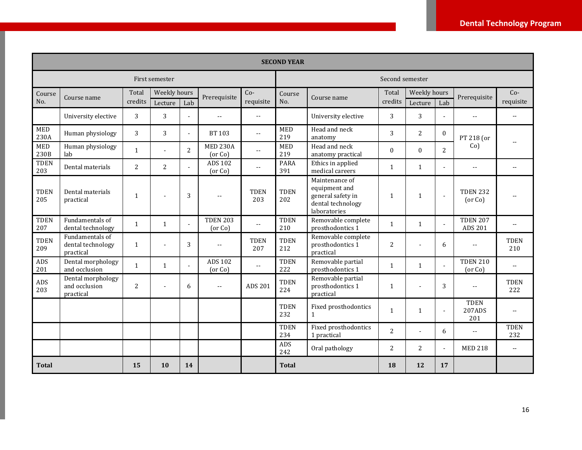|                    | <b>SECOND YEAR</b>                                |                |                |                |                            |                            |                    |                                                                                           |              |                |                |                              |                          |
|--------------------|---------------------------------------------------|----------------|----------------|----------------|----------------------------|----------------------------|--------------------|-------------------------------------------------------------------------------------------|--------------|----------------|----------------|------------------------------|--------------------------|
|                    |                                                   |                | First semester |                |                            |                            | Second semester    |                                                                                           |              |                |                |                              |                          |
| Course             |                                                   | Total          | Weekly hours   |                |                            | $Co-$                      | Course             |                                                                                           | Total        | Weekly hours   |                |                              | $Co-$                    |
| No.                | Course name                                       | credits        | Lecture        | Lab            | Prerequisite               | requisite                  | No.                | Course name                                                                               | credits      | Lecture        | Lab            | Prerequisite                 | requisite                |
|                    | University elective                               | 3              | 3              | $\sim$         | $-$                        | $\overline{\phantom{a}}$ . |                    | University elective                                                                       | 3            | 3              |                | $- -$                        | $\overline{\phantom{a}}$ |
| <b>MED</b><br>230A | Human physiology                                  | 3              | 3              | $\sim$         | <b>BT 103</b>              | $\overline{\phantom{a}}$   | <b>MED</b><br>219  | Head and neck<br>anatomy                                                                  | 3            | $\overline{2}$ | $\Omega$       | PT 218 (or                   |                          |
| <b>MED</b><br>230B | Human physiology<br>lab                           | 1              |                | $\overline{2}$ | <b>MED 230A</b><br>(or Co) |                            | <b>MED</b><br>219  | Head and neck<br>anatomy practical                                                        | $\Omega$     | $\Omega$       | $\overline{2}$ | $Co$ )                       |                          |
| <b>TDEN</b><br>203 | Dental materials                                  | $\overline{2}$ | $\overline{2}$ | $\sim$         | <b>ADS 102</b><br>(or Co)  | $\overline{a}$             | <b>PARA</b><br>391 | Ethics in applied<br>medical careers                                                      | $\mathbf{1}$ | $\mathbf{1}$   |                | $\overline{\phantom{a}}$     | $-$                      |
| <b>TDEN</b><br>205 | Dental materials<br>practical                     | $\mathbf{1}$   |                | 3              | $\overline{a}$             | <b>TDEN</b><br>203         | <b>TDEN</b><br>202 | Maintenance of<br>equipment and<br>general safety in<br>dental technology<br>laboratories | $\mathbf{1}$ | $\mathbf{1}$   | $\blacksquare$ | <b>TDEN 232</b><br>(or Co)   |                          |
| <b>TDEN</b><br>207 | Fundamentals of<br>dental technology              | $\mathbf{1}$   | $\mathbf{1}$   | $\sim$         | <b>TDEN 203</b><br>(or Co) | $\overline{\phantom{a}}$   | <b>TDEN</b><br>210 | Removable complete<br>prosthodontics 1                                                    | $\mathbf{1}$ | $\mathbf{1}$   |                | <b>TDEN 207</b><br>ADS 201   | $-$                      |
| <b>TDEN</b><br>209 | Fundamentals of<br>dental technology<br>practical | $\mathbf{1}$   |                | 3              | $-$                        | <b>TDEN</b><br>207         | <b>TDEN</b><br>212 | Removable complete<br>prosthodontics 1<br>practical                                       | 2            |                | 6              | $- -$                        | <b>TDEN</b><br>210       |
| ADS<br>201         | Dental morphology<br>and occlusion                | 1              | $\mathbf{1}$   | $\sim$         | ADS 102<br>(or Co)         | $\overline{\phantom{a}}$ . | <b>TDEN</b><br>222 | Removable partial<br>prosthodontics 1                                                     | 1            | 1              | $\blacksquare$ | <b>TDEN 210</b><br>(or Co)   | $-$                      |
| ADS<br>203         | Dental morphology<br>and occlusion<br>practical   | 2              |                | 6              | $\sim$ $\sim$              | ADS 201                    | <b>TDEN</b><br>224 | Removable partial<br>prosthodontics 1<br>practical                                        | $\mathbf{1}$ |                | 3              | $-1$                         | <b>TDEN</b><br>222       |
|                    |                                                   |                |                |                |                            |                            | <b>TDEN</b><br>232 | Fixed prosthodontics<br>$\mathbf{1}$                                                      | $\mathbf{1}$ | $\mathbf{1}$   | ÷,             | <b>TDEN</b><br>207ADS<br>201 | --                       |
|                    |                                                   |                |                |                |                            |                            | <b>TDEN</b><br>234 | Fixed prosthodontics<br>1 practical                                                       | 2            | $\overline{a}$ | 6              | $-1$                         | <b>TDEN</b><br>232       |
|                    |                                                   |                |                |                |                            |                            | ADS<br>242         | Oral pathology                                                                            | 2            | 2              | $\overline{a}$ | <b>MED 218</b>               | $\sim$ $\sim$            |
| <b>Total</b>       |                                                   | 15             | 10             | 14             |                            |                            | <b>Total</b>       |                                                                                           | 18           | 12             | 17             |                              |                          |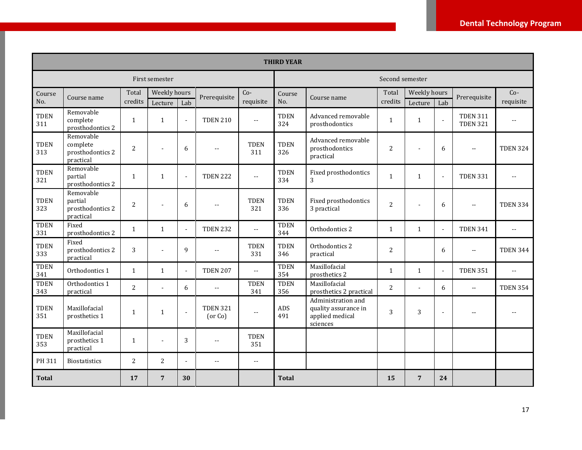|                    | <b>THIRD YEAR</b>                                      |                |                |                |                            |                    |                    |                                                                           |                |                |                |                                    |                 |
|--------------------|--------------------------------------------------------|----------------|----------------|----------------|----------------------------|--------------------|--------------------|---------------------------------------------------------------------------|----------------|----------------|----------------|------------------------------------|-----------------|
|                    |                                                        |                | First semester |                |                            |                    | Second semester    |                                                                           |                |                |                |                                    |                 |
| Course             |                                                        | Total          | Weekly hours   |                | Prerequisite               | $Co-$              | Course             |                                                                           | Total          | Weekly hours   |                | Prerequisite                       | $Co-$           |
| No.                | Course name                                            | credits        | Lecture        | Lab            |                            | requisite          | No.                | Course name                                                               | credits        | Lecture        | Lab            |                                    | requisite       |
| <b>TDEN</b><br>311 | Removable<br>complete<br>prosthodontics 2              | $\mathbf{1}$   | $\mathbf{1}$   | $\sim$         | <b>TDEN 210</b>            | $\sim$             | <b>TDEN</b><br>324 | Advanced removable<br>prosthodontics                                      | $\mathbf{1}$   | $\mathbf{1}$   | $\sim$         | <b>TDEN 311</b><br><b>TDEN 321</b> |                 |
| <b>TDEN</b><br>313 | Removable<br>complete<br>prosthodontics 2<br>practical | 2              |                | 6              | $-$                        | <b>TDEN</b><br>311 | <b>TDEN</b><br>326 | Advanced removable<br>prosthodontics<br>practical                         | $\overline{2}$ |                | 6              | $\overline{a}$                     | <b>TDEN 324</b> |
| <b>TDEN</b><br>321 | Removable<br>partial<br>prosthodontics 2               | $\mathbf{1}$   | $\mathbf{1}$   | $\sim$         | <b>TDEN 222</b>            | $\overline{a}$     | <b>TDEN</b><br>334 | Fixed prosthodontics<br>3                                                 | $\mathbf{1}$   | $\mathbf{1}$   | $\sim$         | <b>TDEN 331</b>                    | $\overline{a}$  |
| <b>TDEN</b><br>323 | Removable<br>partial<br>prosthodontics 2<br>practical  | $\overline{c}$ |                | 6              | $\overline{a}$             | <b>TDEN</b><br>321 | <b>TDEN</b><br>336 | Fixed prosthodontics<br>3 practical                                       | $\overline{2}$ |                | 6              | $\sim$                             | <b>TDEN 334</b> |
| <b>TDEN</b><br>331 | Fixed<br>prosthodontics 2                              | 1              | 1              | $\blacksquare$ | <b>TDEN 232</b>            | $\sim$             | <b>TDEN</b><br>344 | Orthodontics 2                                                            | 1              | 1              | $\blacksquare$ | <b>TDEN 341</b>                    | $-$             |
| <b>TDEN</b><br>333 | Fixed<br>prosthodontics 2<br>practical                 | 3              |                | 9              | $\overline{a}$             | <b>TDEN</b><br>331 | <b>TDEN</b><br>346 | Orthodontics 2<br>practical                                               | $\overline{2}$ |                | 6              | $\sim$                             | <b>TDEN 344</b> |
| <b>TDEN</b><br>341 | Orthodontics 1                                         | $\mathbf{1}$   | $\mathbf{1}$   | $\blacksquare$ | <b>TDEN 207</b>            | $\mathbf{u}$       | <b>TDEN</b><br>354 | Maxillofacial<br>prosthetics 2                                            | $\mathbf{1}$   | 1              | $\sim$         | <b>TDEN 351</b>                    | $\overline{a}$  |
| <b>TDEN</b><br>343 | Orthodontics 1<br>practical                            | 2              |                | 6              | $\sim$ $\sim$              | <b>TDEN</b><br>341 | <b>TDEN</b><br>356 | Maxillofacial<br>prosthetics 2 practical                                  | $\overline{2}$ |                | 6              | $\mathbb{L}^{\mathbb{L}}$          | <b>TDEN 354</b> |
| <b>TDEN</b><br>351 | Maxillofacial<br>prosthetics 1                         | 1              | 1              | $\sim$         | <b>TDEN 321</b><br>(or Co) | $-$                | ADS<br>491         | Administration and<br>quality assurance in<br>applied medical<br>sciences | 3              | 3              | $\sim$         |                                    |                 |
| <b>TDEN</b><br>353 | Maxillofacial<br>prosthetics 1<br>practical            | $\mathbf{1}$   |                | 3              | $\overline{\phantom{a}}$   | <b>TDEN</b><br>351 |                    |                                                                           |                |                |                |                                    |                 |
| PH 311             | <b>Biostatistics</b>                                   | $\overline{2}$ | 2              | $\blacksquare$ | $-$                        | $\sim$             |                    |                                                                           |                |                |                |                                    |                 |
| <b>Total</b>       |                                                        | 17             | $\overline{7}$ | 30             |                            |                    | <b>Total</b>       |                                                                           | 15             | $\overline{7}$ | 24             |                                    |                 |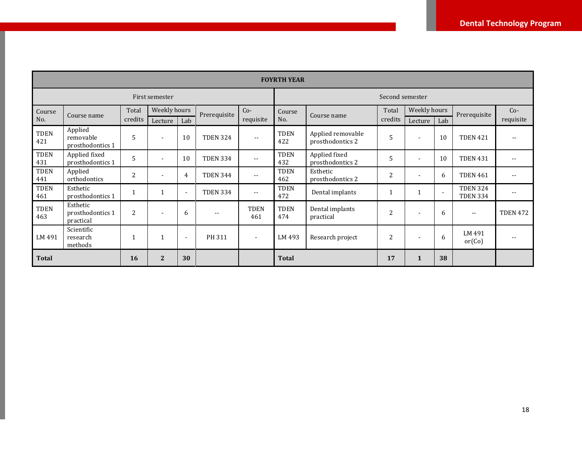|                    | <b>FOYRTH YEAR</b>                        |                |                |                |                 |                    |                    |                                       |                 |              |                          |                                    |                 |
|--------------------|-------------------------------------------|----------------|----------------|----------------|-----------------|--------------------|--------------------|---------------------------------------|-----------------|--------------|--------------------------|------------------------------------|-----------------|
| First semester     |                                           |                |                |                |                 |                    |                    |                                       | Second semester |              |                          |                                    |                 |
| Course             | Course name                               | Total          | Weekly hours   |                | Prerequisite    | $Co-$              | Course             | Course name                           | Total           | Weekly hours |                          | Prerequisite                       | $Co-$           |
| No.                |                                           | credits        | Lecture        | Lab            |                 | requisite          | No.                |                                       | credits         | Lecture      | Lab                      |                                    | requisite       |
| <b>TDEN</b><br>421 | Applied<br>removable<br>prosthodontics 1  | 5              | $\blacksquare$ | 10             | <b>TDEN 324</b> | $- -$              | <b>TDEN</b><br>422 | Applied removable<br>prosthodontics 2 | 5               |              | 10                       | <b>TDEN 421</b>                    |                 |
| <b>TDEN</b><br>431 | Applied fixed<br>prosthodontics 1         | 5              |                | 10             | <b>TDEN 334</b> | $\sim$ $\sim$      | <b>TDEN</b><br>432 | Applied fixed<br>prosthodontics 2     | 5               |              | 10                       | <b>TDEN 431</b>                    |                 |
| <b>TDEN</b><br>441 | Applied<br>orthodontics                   | $\overline{2}$ |                | 4              | <b>TDEN 344</b> | $\sim$ $\sim$      | <b>TDEN</b><br>462 | Esthetic<br>prosthodontics 2          | $\overline{2}$  |              | 6                        | <b>TDEN 461</b>                    |                 |
| <b>TDEN</b><br>461 | Esthetic<br>prosthodontics 1              |                |                | $\blacksquare$ | <b>TDEN 334</b> | $\mathbf{u}$       | <b>TDEN</b><br>472 | Dental implants                       |                 |              | $\overline{\phantom{a}}$ | <b>TDEN 324</b><br><b>TDEN 334</b> | --              |
| <b>TDEN</b><br>463 | Esthetic<br>prosthodontics 1<br>practical | $\overline{2}$ | $\blacksquare$ | 6              | $-$             | <b>TDEN</b><br>461 | <b>TDEN</b><br>474 | Dental implants<br>practical          | $\overline{2}$  |              | 6                        | $\overline{\phantom{a}}$           | <b>TDEN 472</b> |
| LM 491             | Scientific<br>research<br>methods         |                |                | $\blacksquare$ | PH 311          | ۰                  | LM 493             | Research project                      | $\overline{c}$  |              | 6                        | LM 491<br>or(Co)                   |                 |
| <b>Total</b>       |                                           | <b>16</b>      | $\overline{2}$ | 30             |                 |                    | <b>Total</b>       |                                       | 17              | 1            | 38                       |                                    |                 |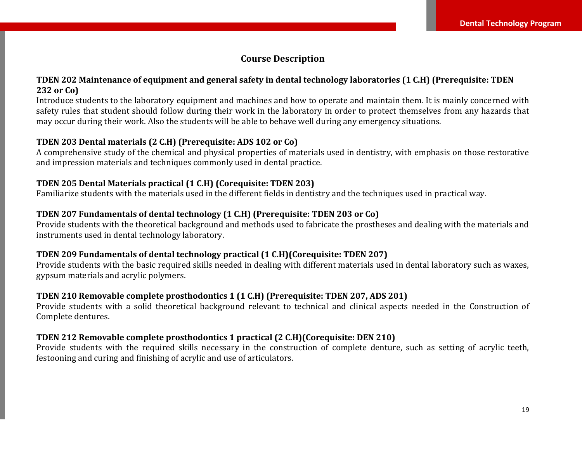# **Course Description**

#### **TDEN 202 Maintenance of equipment and general safety in dental technology laboratories (1 C.H) (Prerequisite: TDEN 232 or Co)**

Introduce students to the laboratory equipment and machines and how to operate and maintain them. It is mainly concerned with safety rules that student should follow during their work in the laboratory in order to protect themselves from any hazards that may occur during their work. Also the students will be able to behave well during any emergency situations.

# **TDEN 203 Dental materials (2 C.H) (Prerequisite: ADS 102 or Co)**

A comprehensive study of the chemical and physical properties of materials used in dentistry, with emphasis on those restorative and impression materials and techniques commonly used in dental practice.

#### **TDEN 205 Dental Materials practical (1 C.H) (Corequisite: TDEN 203)**

Familiarize students with the materials used in the different fields in dentistry and the techniques used in practical way.

# **TDEN 207 Fundamentals of dental technology (1 C.H) (Prerequisite: TDEN 203 or Co)**

Provide students with the theoretical background and methods used to fabricate the prostheses and dealing with the materials and instruments used in dental technology laboratory.

# **TDEN 209 Fundamentals of dental technology practical (1 C.H)(Corequisite: TDEN 207)**

Provide students with the basic required skills needed in dealing with different materials used in dental laboratory such as waxes, gypsum materials and acrylic polymers.

#### **TDEN 210 Removable complete prosthodontics 1 (1 C.H) (Prerequisite: TDEN 207, ADS 201)**

Provide students with a solid theoretical background relevant to technical and clinical aspects needed in the Construction of Complete dentures.

#### **TDEN 212 Removable complete prosthodontics 1 practical (2 C.H)(Corequisite: DEN 210)**

Provide students with the required skills necessary in the construction of complete denture, such as setting of acrylic teeth, festooning and curing and finishing of acrylic and use of articulators.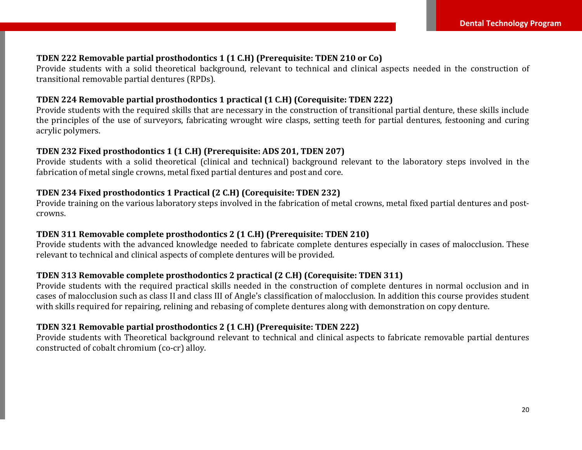#### **TDEN 222 Removable partial prosthodontics 1 (1 C.H) (Prerequisite: TDEN 210 or Co)**

Provide students with a solid theoretical background, relevant to technical and clinical aspects needed in the construction of transitional removable partial dentures (RPDs).

#### **TDEN 224 Removable partial prosthodontics 1 practical (1 C.H) (Corequisite: TDEN 222)**

Provide students with the required skills that are necessary in the construction of transitional partial denture, these skills include the principles of the use of surveyors, fabricating wrought wire clasps, setting teeth for partial dentures, festooning and curing acrylic polymers.

### **TDEN 232 Fixed prosthodontics 1 (1 C.H) (Prerequisite: ADS 201, TDEN 207)**

Provide students with a solid theoretical (clinical and technical) background relevant to the laboratory steps involved in the fabrication of metal single crowns, metal fixed partial dentures and post and core.

# **TDEN 234 Fixed prosthodontics 1 Practical (2 C.H) (Corequisite: TDEN 232)**

Provide training on the various laboratory steps involved in the fabrication of metal crowns, metal fixed partial dentures and postcrowns.

#### **TDEN 311 Removable complete prosthodontics 2 (1 C.H) (Prerequisite: TDEN 210)**

Provide students with the advanced knowledge needed to fabricate complete dentures especially in cases of malocclusion. These relevant to technical and clinical aspects of complete dentures will be provided.

#### **TDEN 313 Removable complete prosthodontics 2 practical (2 C.H) (Corequisite: TDEN 311)**

Provide students with the required practical skills needed in the construction of complete dentures in normal occlusion and in cases of malocclusion such as class II and class III of Angle's classification of malocclusion. In addition this course provides student with skills required for repairing, relining and rebasing of complete dentures along with demonstration on copy denture.

# **TDEN 321 Removable partial prosthodontics 2 (1 C.H) (Prerequisite: TDEN 222)**

Provide students with Theoretical background relevant to technical and clinical aspects to fabricate removable partial dentures constructed of cobalt chromium (co-cr) alloy.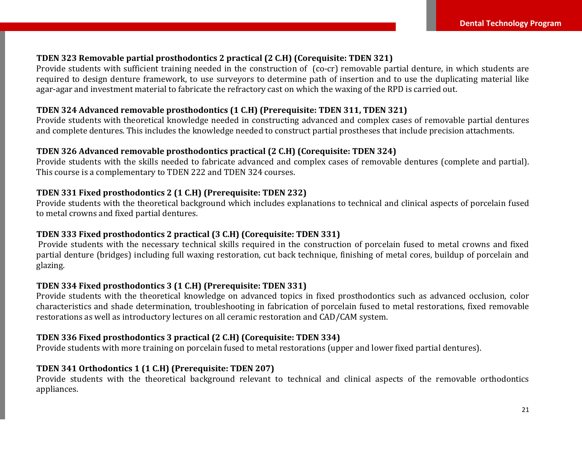#### **TDEN 323 Removable partial prosthodontics 2 practical (2 C.H) (Corequisite: TDEN 321)**

Provide students with sufficient training needed in the construction of (co-cr) removable partial denture, in which students are required to design denture framework, to use surveyors to determine path of insertion and to use the duplicating material like agar-agar and investment material to fabricate the refractory cast on which the waxing of the RPD is carried out.

# **TDEN 324 Advanced removable prosthodontics (1 C.H) (Prerequisite: TDEN 311, TDEN 321)**

Provide students with theoretical knowledge needed in constructing advanced and complex cases of removable partial dentures and complete dentures. This includes the knowledge needed to construct partial prostheses that include precision attachments.

# **TDEN 326 Advanced removable prosthodontics practical (2 C.H) (Corequisite: TDEN 324)**

Provide students with the skills needed to fabricate advanced and complex cases of removable dentures (complete and partial). This course is a complementary to TDEN 222 and TDEN 324 courses.

#### **TDEN 331 Fixed prosthodontics 2 (1 C.H) (Prerequisite: TDEN 232)**

Provide students with the theoretical background which includes explanations to technical and clinical aspects of porcelain fused to metal crowns and fixed partial dentures.

#### **TDEN 333 Fixed prosthodontics 2 practical (3 C.H) (Corequisite: TDEN 331)**

Provide students with the necessary technical skills required in the construction of porcelain fused to metal crowns and fixed partial denture (bridges) including full waxing restoration, cut back technique, finishing of metal cores, buildup of porcelain and glazing.

#### **TDEN 334 Fixed prosthodontics 3 (1 C.H) (Prerequisite: TDEN 331)**

Provide students with the theoretical knowledge on advanced topics in fixed prosthodontics such as advanced occlusion, color characteristics and shade determination, troubleshooting in fabrication of porcelain fused to metal restorations, fixed removable restorations as well as introductory lectures on all ceramic restoration and CAD/CAM system.

#### **TDEN 336 Fixed prosthodontics 3 practical (2 C.H) (Corequisite: TDEN 334)**

Provide students with more training on porcelain fused to metal restorations (upper and lower fixed partial dentures).

#### **TDEN 341 Orthodontics 1 (1 C.H) (Prerequisite: TDEN 207)**

Provide students with the theoretical background relevant to technical and clinical aspects of the removable orthodontics appliances.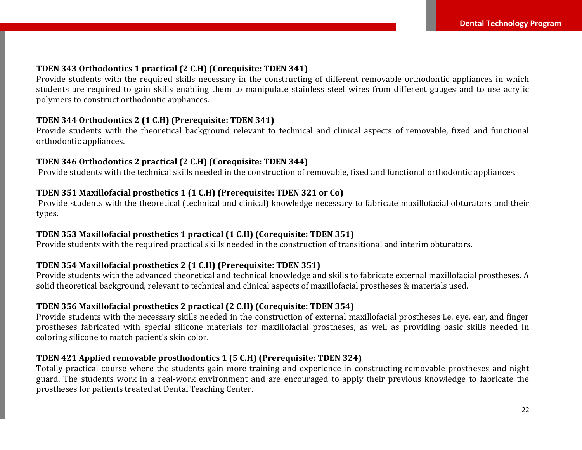#### **TDEN 343 Orthodontics 1 practical (2 C.H) (Corequisite: TDEN 341)**

Provide students with the required skills necessary in the constructing of different removable orthodontic appliances in which students are required to gain skills enabling them to manipulate stainless steel wires from different gauges and to use acrylic polymers to construct orthodontic appliances.

#### **TDEN 344 Orthodontics 2 (1 C.H) (Prerequisite: TDEN 341)**

Provide students with the theoretical background relevant to technical and clinical aspects of removable, fixed and functional orthodontic appliances.

#### **TDEN 346 Orthodontics 2 practical (2 C.H) (Corequisite: TDEN 344)**

Provide students with the technical skills needed in the construction of removable, fixed and functional orthodontic appliances.

#### **TDEN 351 Maxillofacial prosthetics 1 (1 C.H) (Prerequisite: TDEN 321 or Co)**

Provide students with the theoretical (technical and clinical) knowledge necessary to fabricate maxillofacial obturators and their types.

#### **TDEN 353 Maxillofacial prosthetics 1 practical (1 C.H) (Corequisite: TDEN 351)**

Provide students with the required practical skills needed in the construction of transitional and interim obturators.

#### **TDEN 354 Maxillofacial prosthetics 2 (1 C.H) (Prerequisite: TDEN 351)**

Provide students with the advanced theoretical and technical knowledge and skills to fabricate external maxillofacial prostheses. A solid theoretical background, relevant to technical and clinical aspects of maxillofacial prostheses & materials used.

# **TDEN 356 Maxillofacial prosthetics 2 practical (2 C.H) (Corequisite: TDEN 354)**

Provide students with the necessary skills needed in the construction of external maxillofacial prostheses i.e. eye, ear, and finger prostheses fabricated with special silicone materials for maxillofacial prostheses, as well as providing basic skills needed in coloring silicone to match patient's skin color.

#### **TDEN 421 Applied removable prosthodontics 1 (5 C.H) (Prerequisite: TDEN 324)**

Totally practical course where the students gain more training and experience in constructing removable prostheses and night guard. The students work in a real-work environment and are encouraged to apply their previous knowledge to fabricate the prostheses for patients treated at Dental Teaching Center.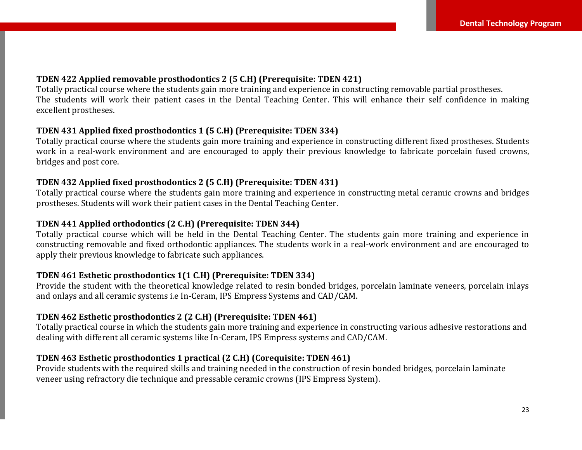#### **TDEN 422 Applied removable prosthodontics 2 (5 C.H) (Prerequisite: TDEN 421)**

Totally practical course where the students gain more training and experience in constructing removable partial prostheses. The students will work their patient cases in the Dental Teaching Center. This will enhance their self confidence in making excellent prostheses.

#### **TDEN 431 Applied fixed prosthodontics 1 (5 C.H) (Prerequisite: TDEN 334)**

Totally practical course where the students gain more training and experience in constructing different fixed prostheses. Students work in a real-work environment and are encouraged to apply their previous knowledge to fabricate porcelain fused crowns, bridges and post core.

#### **TDEN 432 Applied fixed prosthodontics 2 (5 C.H) (Prerequisite: TDEN 431)**

Totally practical course where the students gain more training and experience in constructing metal ceramic crowns and bridges prostheses. Students will work their patient cases in the Dental Teaching Center.

#### **TDEN 441 Applied orthodontics (2 C.H) (Prerequisite: TDEN 344)**

Totally practical course which will be held in the Dental Teaching Center. The students gain more training and experience in constructing removable and fixed orthodontic appliances. The students work in a real-work environment and are encouraged to apply their previous knowledge to fabricate such appliances.

#### **TDEN 461 Esthetic prosthodontics 1(1 C.H) (Prerequisite: TDEN 334)**

Provide the student with the theoretical knowledge related to resin bonded bridges, porcelain laminate veneers, porcelain inlays and onlays and all ceramic systems i.e In-Ceram, IPS Empress Systems and CAD/CAM.

#### **TDEN 462 Esthetic prosthodontics 2 (2 C.H) (Prerequisite: TDEN 461)**

Totally practical course in which the students gain more training and experience in constructing various adhesive restorations and dealing with different all ceramic systems like In-Ceram, IPS Empress systems and CAD/CAM.

# **TDEN 463 Esthetic prosthodontics 1 practical (2 C.H) (Corequisite: TDEN 461)**

Provide students with the required skills and training needed in the construction of resin bonded bridges, porcelain laminate veneer using refractory die technique and pressable ceramic crowns (IPS Empress System).